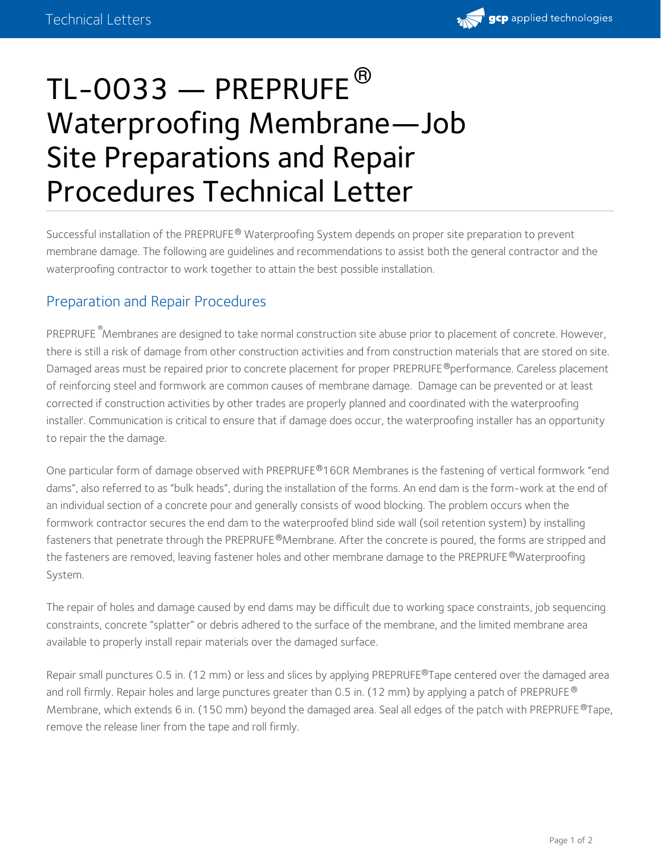

## TL-0033 — PREPRUFE $^\circledR$ Waterproofing Membrane—Job Site Preparations and Repair Procedures Technical Letter

Successful installation of the PREPRUFE® Waterproofing System depends on proper site preparation to prevent membrane damage. The following are guidelines and recommendations to assist both the general contractor and the waterproofing contractor to work together to attain the best possible installation.

## Preparation and Repair Procedures

PREPRUFE<sup>®</sup>Membranes are designed to take normal construction site abuse prior to placement of concrete. However, there is still a risk of damage from other construction activities and from construction materials that are stored on site. Damaged areas must be repaired prior to concrete placement for proper PREPRUFE ®performance. Careless placement of reinforcing steel and formwork are common causes of membrane damage. Damage can be prevented or at least corrected if construction activities by other trades are properly planned and coordinated with the waterproofing installer. Communication is critical to ensure that if damage does occur, the waterproofing installer has an opportunity to repair the the damage.

One particular form of damage observed with PREPRUFE®160R Membranes is the fastening of vertical formwork "end dams", also referred to as "bulk heads", during the installation of the forms. An end dam is the form-work at the end of an individual section of a concrete pour and generally consists of wood blocking. The problem occurs when the formwork contractor secures the end dam to the waterproofed blind side wall (soil retention system) by installing fasteners that penetrate through the PREPRUFE®Membrane. After the concrete is poured, the forms are stripped and the fasteners are removed, leaving fastener holes and other membrane damage to the PREPRUFE ®Waterproofing System.

The repair of holes and damage caused by end dams may be difficult due to working space constraints, job sequencing constraints, concrete "splatter" or debris adhered to the surface of the membrane, and the limited membrane area available to properly install repair materials over the damaged surface.

Repair small punctures 0.5 in. (12 mm) or less and slices by applying PREPRUFE®Tape centered over the damaged area and roll firmly. Repair holes and large punctures greater than 0.5 in. (12 mm) by applying a patch of PREPRUFE  $^\circledR$ Membrane, which extends 6 in. (150 mm) beyond the damaged area. Seal all edges of the patch with PREPRUFE®Tape, remove the release liner from the tape and roll firmly.